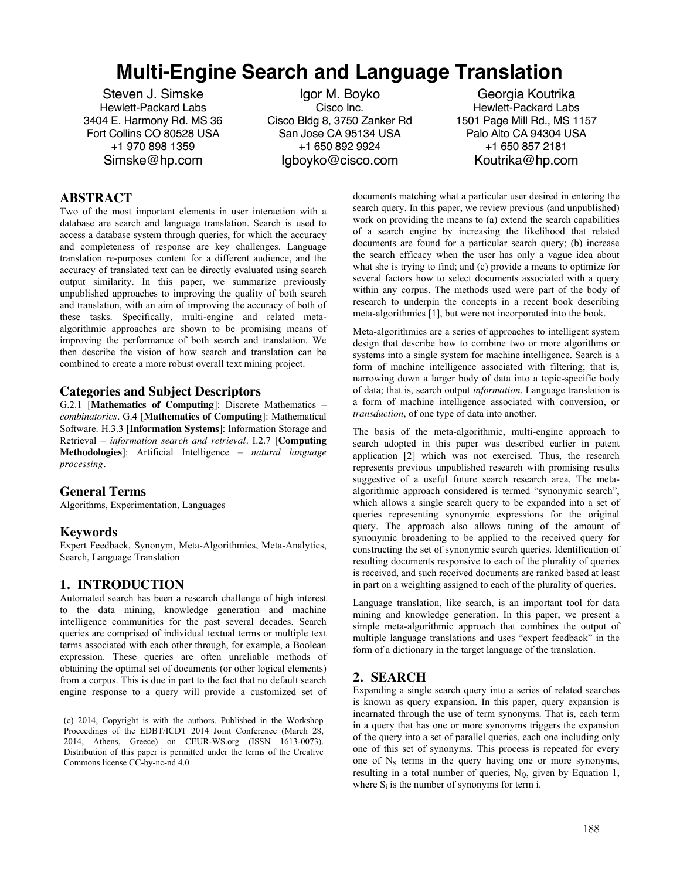# **Multi-Engine Search and Language Translation**

Steven J. Simske Hewlett-Packard Labs 3404 E. Harmony Rd. MS 36 Fort Collins CO 80528 USA +1 970 898 1359 Simske@hp.com

Igor M. Boyko Cisco Inc. Cisco Bldg 8, 3750 Zanker Rd San Jose CA 95134 USA +1 650 892 9924 Igboyko@cisco.com

Georgia Koutrika Hewlett-Packard Labs 1501 Page Mill Rd., MS 1157 Palo Alto CA 94304 USA +1 650 857 2181 Koutrika@hp.com

## **ABSTRACT**

Two of the most important elements in user interaction with a database are search and language translation. Search is used to access a database system through queries, for which the accuracy and completeness of response are key challenges. Language translation re-purposes content for a different audience, and the accuracy of translated text can be directly evaluated using search output similarity. In this paper, we summarize previously unpublished approaches to improving the quality of both search and translation, with an aim of improving the accuracy of both of these tasks. Specifically, multi-engine and related metaalgorithmic approaches are shown to be promising means of improving the performance of both search and translation. We then describe the vision of how search and translation can be combined to create a more robust overall text mining project.

#### **Categories and Subject Descriptors**

G.2.1 [**Mathematics of Computing**]: Discrete Mathematics – *combinatorics.* G.4 [**Mathematics of Computing**]: Mathematical Software. H.3.3 [**Information Systems**]: Information Storage and Retrieval – *information search and retrieval.* I.2.7 [**Computing Methodologies**]: Artificial Intelligence – *natural language processing.*

## **General Terms**

Algorithms, Experimentation, Languages

#### **Keywords**

Expert Feedback, Synonym, Meta-Algorithmics, Meta-Analytics, Search, Language Translation

#### **1. INTRODUCTION**

Automated search has been a research challenge of high interest to the data mining, knowledge generation and machine intelligence communities for the past several decades. Search queries are comprised of individual textual terms or multiple text terms associated with each other through, for example, a Boolean expression. These queries are often unreliable methods of obtaining the optimal set of documents (or other logical elements) from a corpus. This is due in part to the fact that no default search engine response to a query will provide a customized set of

(c) 2014, Copyright is with the authors. Published in the Workshop Proceedings of the EDBT/ICDT 2014 Joint Conference (March 28, 2014, Athens, Greece) on CEUR-WS.org (ISSN 1613-0073). Distribution of this paper is permitted under the terms of the Creative Commons license CC-by-nc-nd 4.0

documents matching what a particular user desired in entering the search query. In this paper, we review previous (and unpublished) work on providing the means to (a) extend the search capabilities of a search engine by increasing the likelihood that related documents are found for a particular search query; (b) increase the search efficacy when the user has only a vague idea about what she is trying to find; and (c) provide a means to optimize for several factors how to select documents associated with a query within any corpus. The methods used were part of the body of research to underpin the concepts in a recent book describing meta-algorithmics [1], but were not incorporated into the book.

Meta-algorithmics are a series of approaches to intelligent system design that describe how to combine two or more algorithms or systems into a single system for machine intelligence. Search is a form of machine intelligence associated with filtering; that is, narrowing down a larger body of data into a topic-specific body of data; that is, search output *information*. Language translation is a form of machine intelligence associated with conversion, or *transduction*, of one type of data into another.

The basis of the meta-algorithmic, multi-engine approach to search adopted in this paper was described earlier in patent application [2] which was not exercised. Thus, the research represents previous unpublished research with promising results suggestive of a useful future search research area. The metaalgorithmic approach considered is termed "synonymic search", which allows a single search query to be expanded into a set of queries representing synonymic expressions for the original query. The approach also allows tuning of the amount of synonymic broadening to be applied to the received query for constructing the set of synonymic search queries. Identification of resulting documents responsive to each of the plurality of queries is received, and such received documents are ranked based at least in part on a weighting assigned to each of the plurality of queries.

Language translation, like search, is an important tool for data mining and knowledge generation. In this paper, we present a simple meta-algorithmic approach that combines the output of multiple language translations and uses "expert feedback" in the form of a dictionary in the target language of the translation.

## **2. SEARCH**

Expanding a single search query into a series of related searches is known as query expansion. In this paper, query expansion is incarnated through the use of term synonyms. That is, each term in a query that has one or more synonyms triggers the expansion of the query into a set of parallel queries, each one including only one of this set of synonyms. This process is repeated for every one of  $N<sub>S</sub>$  terms in the query having one or more synonyms, resulting in a total number of queries,  $N<sub>O</sub>$ , given by Equation 1, where  $S_i$  is the number of synonyms for term i.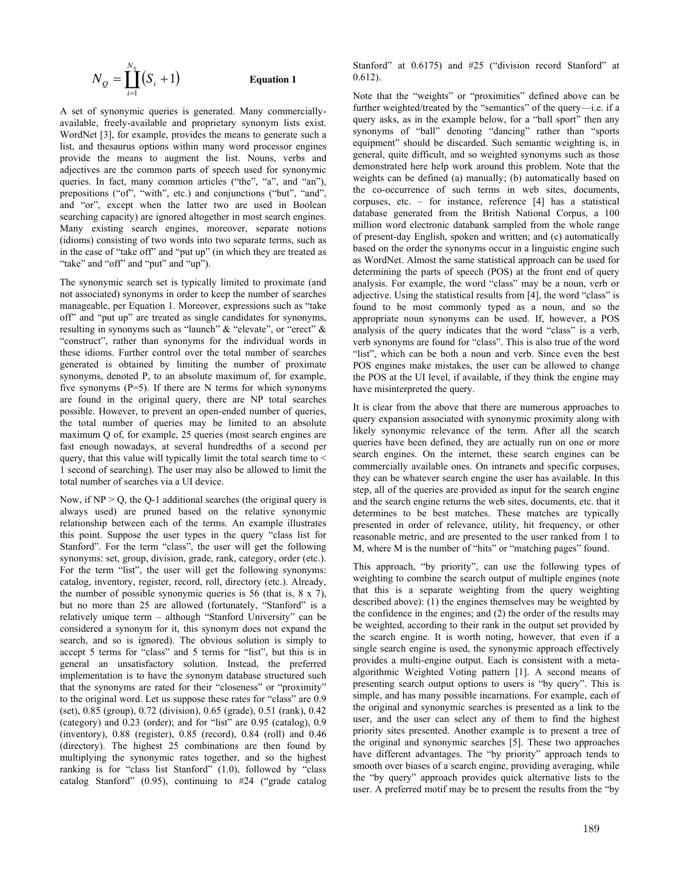$$
N_{\mathcal{Q}} = \coprod_{i=1}^{N_S} (S_i + 1) \qquad \qquad \text{Equation 1}
$$

A set of synonymic queries is generated. Many commerciallyavailable, freely-available and proprietary synonym lists exist. WordNet [3], for example, provides the means to generate such a list, and thesaurus options within many word processor engines provide the means to augment the list. Nouns, verbs and adjectives are the common parts of speech used for synonymic queries. In fact, many common articles ("the", "a", and "an"), prepositions ("of", "with", etc.) and conjunctions ("but", "and", and "or", except when the latter two are used in Boolean searching capacity) are ignored altogether in most search engines. Many existing search engines, moreover, separate notions (idioms) consisting of two words into two separate terms, such as in the case of "take off" and "put up" (in which they are treated as "take" and "off" and "put" and "up").

The synonymic search set is typically limited to proximate (and not associated) synonyms in order to keep the number of searches manageable, per Equation 1. Moreover, expressions such as "take off" and "put up" are treated as single candidates for synonyms, resulting in synonyms such as "launch" & "elevate", or "erect" & "construct", rather than synonyms for the individual words in these idioms. Further control over the total number of searches generated is obtained by limiting the number of proximate synonyms, denoted P, to an absolute maximum of, for example, five synonyms  $(P=5)$ . If there are N terms for which synonyms are found in the original query, there are NP total searches possible. However, to prevent an open-ended number of queries, the total number of queries may be limited to an absolute maximum Q of, for example, 25 queries (most search engines are fast enough nowadays, at several hundredths of a second per query, that this value will typically limit the total search time to  $\leq$ 1 second of searching). The user may also be allowed to limit the total number of searches via a UI device.

Now, if  $NP > Q$ , the Q-1 additional searches (the original query is always used) are pruned based on the relative synonymic relationship between each of the terms. An example illustrates this point. Suppose the user types in the query "class list for Stanford". For the term "class", the user will get the following synonyms: set, group, division, grade, rank, category, order (etc.). For the term "list", the user will get the following synonyms: catalog, inventory, register, record, roll, directory (etc.). Already, the number of possible synonymic queries is 56 (that is, 8 x 7), but no more than 25 are allowed (fortunately, "Stanford" is a relatively unique term – although "Stanford University" can be considered a synonym for it, this synonym does not expand the search, and so is ignored). The obvious solution is simply to accept 5 terms for "class" and 5 terms for "list", but this is in general an unsatisfactory solution. Instead, the preferred implementation is to have the synonym database structured such that the synonyms are rated for their "closeness" or "proximity" to the original word. Let us suppose these rates for "class" are 0.9 (set), 0.85 (group), 0.72 (division), 0.65 (grade), 0.51 (rank), 0.42 (category) and 0.23 (order); and for "list" are 0.95 (catalog), 0.9 (inventory), 0.88 (register), 0.85 (record), 0.84 (roll) and 0.46 (directory). The highest 25 combinations are then found by multiplying the synonymic rates together, and so the highest ranking is for "class list Stanford" (1.0), followed by "class catalog Stanford" (0.95), continuing to #24 ("grade catalog

Stanford" at  $0.6175$ ) and #25 ("division record Stanford" at 0.612).

Note that the "weights" or "proximities" defined above can be further weighted/treated by the "semantics" of the query—i.e. if a query asks, as in the example below, for a "ball sport" then any synonyms of "ball" denoting "dancing" rather than "sports equipment" should be discarded. Such semantic weighting is, in general, quite difficult, and so weighted synonyms such as those demonstrated here help work around this problem. Note that the weights can be defined (a) manually; (b) automatically based on the co-occurrence of such terms in web sites, documents, corpuses, etc. – for instance, reference [4] has a statistical database generated from the British National Corpus, a 100 million word electronic databank sampled from the whole range of present-day English, spoken and written; and (c) automatically based on the order the synonyms occur in a linguistic engine such as WordNet. Almost the same statistical approach can be used for determining the parts of speech (POS) at the front end of query analysis. For example, the word "class" may be a noun, verb or adjective. Using the statistical results from [4], the word "class" is found to be most commonly typed as a noun, and so the appropriate noun synonyms can be used. If, however, a POS analysis of the query indicates that the word "class" is a verb, verb synonyms are found for "class". This is also true of the word "list", which can be both a noun and verb. Since even the best POS engines make mistakes, the user can be allowed to change the POS at the UI level, if available, if they think the engine may have misinterpreted the query.

It is clear from the above that there are numerous approaches to query expansion associated with synonymic proximity along with likely synonymic relevance of the term. After all the search queries have been defined, they are actually run on one or more search engines. On the internet, these search engines can be commercially available ones. On intranets and specific corpuses, they can be whatever search engine the user has available. In this step, all of the queries are provided as input for the search engine and the search engine returns the web sites, documents, etc. that it determines to be best matches. These matches are typically presented in order of relevance, utility, hit frequency, or other reasonable metric, and are presented to the user ranked from 1 to M, where M is the number of "hits" or "matching pages" found.

This approach, "by priority", can use the following types of weighting to combine the search output of multiple engines (note that this is a separate weighting from the query weighting described above): (1) the engines themselves may be weighted by the confidence in the engines; and (2) the order of the results may be weighted, according to their rank in the output set provided by the search engine. It is worth noting, however, that even if a single search engine is used, the synonymic approach effectively provides a multi-engine output. Each is consistent with a metaalgorithmic Weighted Voting pattern [1]. A second means of presenting search output options to users is "by query". This is simple, and has many possible incarnations. For example, each of the original and synonymic searches is presented as a link to the user, and the user can select any of them to find the highest priority sites presented. Another example is to present a tree of the original and synonymic searches [5]. These two approaches have different advantages. The "by priority" approach tends to smooth over biases of a search engine, providing averaging, while the "by query" approach provides quick alternative lists to the user. A preferred motif may be to present the results from the "by